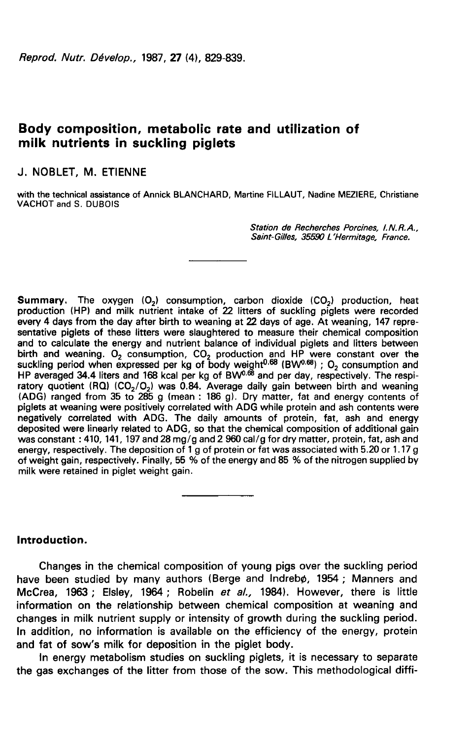Reprod. Nutr. Dévelop., 1987, 27 (4), 829-839.

# Body composition, metabolic rate and utilization of milk nutrients in suckling piglets

# J. NOBLET, M. ETIENNE

with the technical assistance of Annick BLANCHARD, Martine FILLAUT, Nadine MEZIERE, Christiane VACHOT and S. DUBOIS

> Station de Recherches Porcines, I.N.R.A., Saint-Gilles, 35590 L'Hermitage, France.

 ${\bf Summary.}$  The oxygen (O<sub>2</sub>) consumption, carbon dioxide (CO<sub>2</sub>) production, heat<br>production (HP) and milk nutrient intake of 22 litters of suckling piglets were recorded every 4 days from the day after birth to weaning at 22 days of age. At weaning, 147 representative piglets of these litters were slaughtered to measure their chemical composition and to calculate the energy and nutrient balance of individual piglets and litters between and to calculate the energy and nutrient balance of individual piglets and litters between<br>birth and weaning. O<sub>2</sub> consumption,  $CO_2$  production and HP were constant over the<br>suckling period when expressed per kg of body every 4 days from the day after birth to weaning at 22 days of age. At weaning, 147 representative piglets of these litters were slaughtered to measure their chemical composition and to calculate the energy and nutrient b (ADG) ranged from 35 to 285 g (mean : 186 g). Dry matter, fat and energy contents of piglets at weaning were positively correlated with ADG while protein and ash contents were negatively correlated with ADG. The daily amounts of protein, fat, ash and energy deposited were linearly related to ADG, so that the chemical composition of additional gain was constant : 410, 141, 197 and 28 mg/g and 2 960 cal/g for dry matter, protein, fat, ash and energy, respectively. The deposition of 1 g of protein or fat was associated with 5.20 or 1.17 g of weight gain, respectively. Finally, 55 % of the energy and 85 % of the nitrogen supplied by milk were retained in piglet weight gain.

## Introduction.

Changes in the chemical composition of young pigs over the suckling period have been studied by many authors (Berge and Indrebø, 1954; Manners and McCrea, 1963 ; Elsley, 1964 ; Robelin et al., 1984). However, there is little information on the relationship between chemical composition at weaning and changes in milk nutrient supply or intensity of growth during the suckling period. In addition, no information is available on the efficiency of the energy, protein and fat of sow's milk for deposition in the piglet body.

In energy metabolism studies on suckling piglets, it is necessary to separate the gas exchanges of the litter from those of the sow. This methodological diffi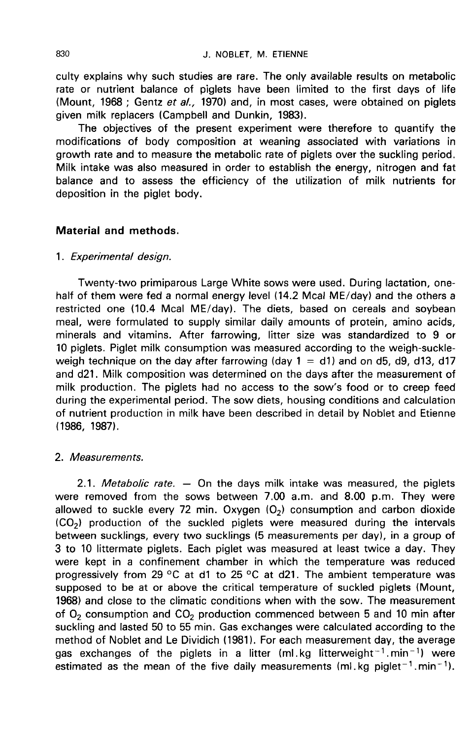culty explains why such studies are rare. The only available results on metabolic rate or nutrient balance of piglets have been limited to the first days of life (Mount, 1968 ; Gentz et al., 1970) and, in most cases, were obtained on piglets given milk replacers (Campbell and Dunkin, 1983).

The objectives of the present experiment were therefore to quantify the modifications of body composition at weaning associated with variations in growth rate and to measure the metabolic rate of piglets over the suckling period. Milk intake was also measured in order to establish the energy, nitrogen and fat balance and to assess the efficiency of the utilization of milk nutrients for deposition in the piglet body.

### Material and methods.

### 1. Experimental design.

Twenty-two primiparous Large White sows were used. During lactation, onehalf of them were fed a normal energy level (14.2 Mcal ME/day) and the others a restricted one (10.4 Mcal ME/day). The diets, based on cereals and soybean meal, were formulated to supply similar daily amounts of protein, amino acids, minerals and vitamins. After farrowing, litter size was standardized to 9 or 10 piglets. Piglet milk consumption was measured according to the weigh-suckleweigh technique on the day after farrowing (day  $1 = d1$ ) and on d5, d9, d13, d17 and d21. Milk composition was determined on the days after the measurement of milk production. The piglets had no access to the sow's food or to creep feed during the experimental period. The sow diets, housing conditions and calculation of nutrient production in milk have been described in detail by Noblet and Etienne (1986, 1987).

### 2. Measurements.

2.1. Metabolic rate.  $-$  On the days milk intake was measured, the piglets were removed from the sows between 7.00 a.m. and 8.00 p.m. They were were removed from the sows between 7.00 a.m. and 8.00 p.m. They were<br>allowed to suckle every 72 min. Oxygen (O<sub>2</sub>) consumption and carbon dioxide<br>(CO<sub>2</sub>) production of the suckled piglets were measured during the interval between sucklings, every two sucklings (5 measurements per day), in a group of 3 to 10 littermate piglets. Each piglet was measured at least twice a day. They were kept in a confinement chamber in which the temperature was reduced progressively from 29 °C at d1 to 25 °C at d21. The ambient temperature was supposed to be at or above the critical temperature of suckled piglets (Mount, 1968) and close to the climatic conditions when with the sow. The measurement of  $O<sub>2</sub>$  consumption and  $CO<sub>2</sub>$  production commenced between 5 and 10 min after suckling and lasted 50 to 55 min. Gas exchanges were calculated according to the method of Noblet and Le Dividich (1981). For each measurement day, the average gas exchanges of the piglets in a litter (ml.kg litterweight<sup>-1</sup>.min<sup>-1</sup>) were estimated as the mean of the five daily measurements (ml, kg piglet<sup>-1</sup>, min<sup>-1</sup>).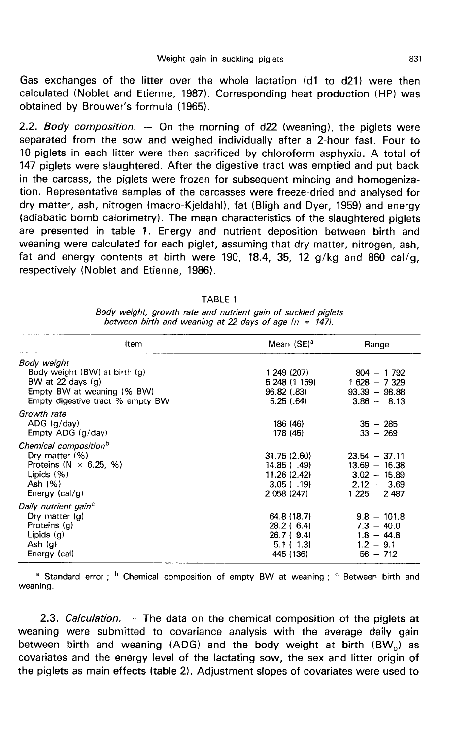Gas exchanges of the litter over the whole lactation (d1 to d21) were then calculated (Noblet and Etienne, 1987). Corresponding heat production (HP) was obtained by Brouwer's formula (1965).

2.2. Body composition.  $-$  On the morning of d22 (weaning), the piglets were separated from the sow and weighed individually after a 2-hour fast. Four to 10 piglets in each litter were then sacrificed by chloroform asphyxia. A total of 147 piglets were slaughtered. After the digestive tract was emptied and put back in the carcass, the piglets were frozen for subsequent mincing and homogenization. Representative samples of the carcasses were freeze-dried and analysed for dry matter, ash, nitrogen (macro-Kjeldahl), fat (Bligh and Dyer, 1959) and energy (adiabatic bomb calorimetry). The mean characteristics of the slaughtered piglets are presented in table 1. Energy and nutrient deposition between birth and weaning were calculated for each piglet, assuming that dry matter, nitrogen, ash, fat and energy contents at birth were 190, 18.4, 35, 12 g/kg and 860 cal/g, respectively (Noblet and Etienne, 1986).

| TABLE 1                                                                                                                    |  |
|----------------------------------------------------------------------------------------------------------------------------|--|
| Body weight, growth rate and nutrient gain of suckled piglets<br>between birth and weaning at 22 days of age $(n = 147)$ . |  |

| Item                                                                                                                                    | Mean (SE) <sup>a</sup>                                                     | Range                                                                                  |  |
|-----------------------------------------------------------------------------------------------------------------------------------------|----------------------------------------------------------------------------|----------------------------------------------------------------------------------------|--|
| Body weight<br>Body weight (BW) at birth (g)<br>BW at 22 days $(q)$<br>Empty BW at weaning (% BW)<br>Empty digestive tract % empty BW   | 1 249 (207)<br>5 248 (1 159)<br>96.82 (.83)<br>5.25(.64)                   | $804 - 1792$<br>$1628 - 7329$<br>$93.39 - 98.88$<br>$3.86 - 8.13$                      |  |
| Growth rate<br>$ADG$ ( $q$ /day)<br>Empty ADG (g/day)                                                                                   | 186 (46)<br>178 (45)                                                       | $35 - 285$<br>$33 - 269$                                                               |  |
| Chemical composition <sup>b</sup><br>Dry matter $(%)$<br>Proteins ( $N \times 6.25$ , %)<br>Lipids $(%)$<br>Ash (%)<br>Energy $(cal/g)$ | 31.75 (2.60)<br>14.85(.49)<br>11.26 (2.42)<br>$3.05$ ( .19)<br>2 058 (247) | $23.54 - 37.11$<br>$13.69 - 16.38$<br>$3.02 - 15.89$<br>$2.12 - 3.69$<br>$1225 - 2487$ |  |
| Daily nutrient gain <sup>c</sup><br>Dry matter $(q)$<br>Proteins (g)<br>Lipids (g)<br>Ash $(g)$<br>Energy (cal)                         | 64.8 (18.7)<br>28.2 ( 6.4)<br>26.7 (9.4)<br>5.1(1.3)<br>445 (136)          | $9.8 - 101.8$<br>$7.3 - 40.0$<br>$1.8 - 44.8$<br>$1.2 - 9.1$<br>$56 - 712$             |  |

<sup>a</sup> Standard error; <sup>b</sup> Chemical composition of empty BW at weaning; <sup>c</sup> Between birth and weaning.

2.3. Calculation.  $-$  The data on the chemical composition of the piglets at weaning were submitted to covariance analysis with the average daily gain between birth and weaning (ADG) and the body weight at birth  $(BW_0)$  as covariates and the energy level of the lactating sow, the sex and litter origin of the piglets as main effects (table 2). Adjustment slopes of covariates were used to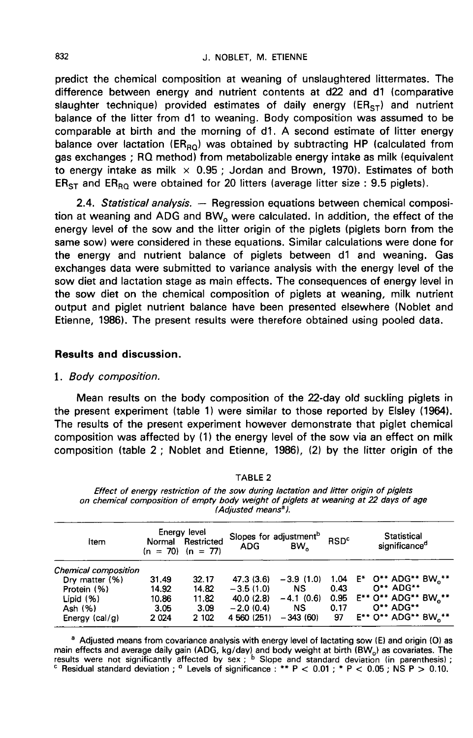#### J. NOBLET. M. ETIENNE

predict the chemical composition at weaning of unslaughtered littermates. The difference between energy and nutrient contents at d22 and d1 (comparative slaughter technique) provided estimates of daily energy ( $ER_{ST}$ ) and nutrient balance of the litter from d1 to weaning. Body composition was assumed to be comparable at birth and the morning of d1. A second estimate of litter energy balance over lactation ( $ER_{RO}$ ) was obtained by subtracting HP (calculated from gas exchanges ; RQ method) from metabolizable energy intake as milk (equivalent to energy intake as milk  $\times$  0.95; Jordan and Brown, 1970). Estimates of both  $ER<sub>ST</sub>$  and  $ER<sub>RO</sub>$  were obtained for 20 litters (average litter size : 9.5 piglets).

2.4. Statistical analysis.  $-$  Regression equations between chemical composition at weaning and ADG and BW<sub>o</sub> were calculated. In addition, the effect of the postal line only and the litter origin of the piglots (piglots energy level of the sow and the litter origin of the piglets (piglets born from the same sow) were considered in these equations. Similar calculations were done for the energy and nutrient balance of piglets between d1 and weaning. Gas exchanges data were submitted to variance analysis with the energy level of the sow diet and lactation stage as main effects. The consequences of energy level in the sow diet on the chemical composition of piglets at weaning, milk nutrient output and piglet nutrient balance have been presented elsewhere (Noblet and Etienne, 1986). The present results were therefore obtained using pooled data.

# Results and discussion.

### 1. Body composition.

Mean results on the body composition of the 22-day old suckling piglets in the present experiment (table 1) were similar to those reported by Elsley (1964). The results of the present experiment however demonstrate that piglet chemical composition was affected by (1) the energy level of the sow via an effect on milk composition (table 2 ; Noblet and Etienne, 1986), (2) by the litter origin of the

| Item                 |        | Energy level<br>Normal Restricted<br>$(n = 70)$ $(n = 77)$ | Slopes for adjustment <sup>b</sup><br><b>ADG</b> | BW.         | <b>RSD<sup>c</sup></b> | <b>Statistical</b><br>significance <sup>d</sup> |
|----------------------|--------|------------------------------------------------------------|--------------------------------------------------|-------------|------------------------|-------------------------------------------------|
| Chemical composition |        |                                                            |                                                  |             |                        |                                                 |
| Dry matter (%)       | 31.49  | 32.17                                                      | 47.3 (3.6)                                       | $-3.9(1.0)$ |                        | 1.04 E* O** ADG** BW.**                         |
| Protein (%)          | 14.92  | 14.82                                                      | $-3.5(1.0)$                                      | <b>NS</b>   | 0.43                   | $0***$ ADG**                                    |
| Lipid $(% )$         | 10.86  | 11.82                                                      | 40.0(2.8)                                        | $-4.1(0.6)$ | 0.95                   | E** 0** ADG** BW <sub>a</sub> **                |
| Ash (%)              | 3.05   | 3.09                                                       | $-2.0(0.4)$                                      | <b>NS</b>   | 0.17                   | 0** ADG**                                       |
| Energy $(cal/g)$     | 2 0 24 | 2 102                                                      | 4 560 (251)                                      | $-343(60)$  | 97                     | E** 0** ADG** BW.**                             |

**TABLE 2** 

Effect of energy restriction of the sow during lactation and litter origin of piglets on chemical composition of empty body weight of piglets at weaning at 22 days of age (Adjusted means<sup>a</sup>).

<sup>a</sup> Adjusted means from covariance analysis with energy level of lactating sow (E) and origin (O) as main effects and average daily gain (ADG, kg/day) and body weight at birth (BW<sub>o</sub>) as covariates. The results were not significantly affected by sex; <sup>b</sup> Slope and standard deviation (in parenthesis); c Residual standard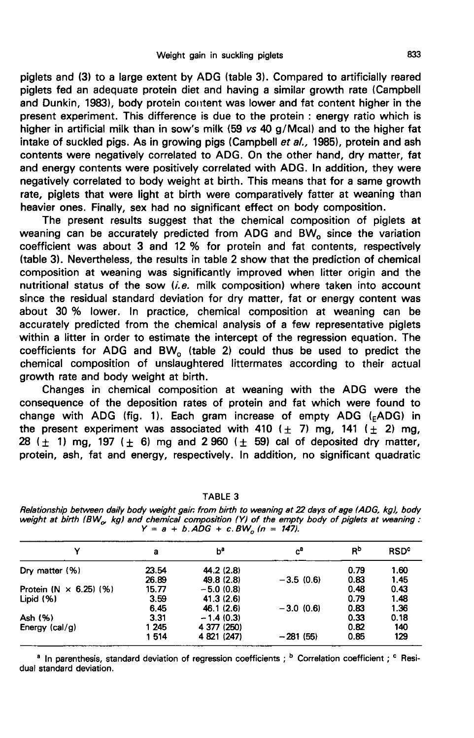piglets and (3) to a large extent by ADG (table 3). Compared to artificially reared piglets fed an adequate protein diet and having a similar growth rate (Campbell and Dunkin, 1983), body protein content was lower and fat content higher in the present experiment. This difference is due to the protein : energy ratio which is higher in artificial milk than in sow's milk (59 vs 40 g/Mcal) and to the higher fat intake of suckled pigs. As in growing pigs (Campbell et al., 1985), protein and ash contents were negatively correlated to ADG. On the other hand, dry matter, fat and energy contents were positively correlated with ADG. In addition, they were negatively correlated to body weight at birth. This means that for a same growth rate, piglets that were light at birth were comparatively fatter at weaning than heavier ones. Finally, sex had no significant effect on body composition.

The present results suggest that the chemical composition of piglets at weaning can be accurately predicted from ADG and BW<sub>o</sub> since the variation coefficient was about 3 and 12 % for protein and fat contents, respectively (table 3). Nevertheless, the results in table 2 show that the prediction of chemical composition at weaning was significantly improved when litter origin and the nutritional status of the sow  $(i.e.$  milk composition) where taken into account since the residual standard deviation for dry matter, fat or energy content was about 30 % lower. In practice, chemical composition at weaning can be accurately predicted from the chemical analysis of a few representative piglets within a litter in order to estimate the intercept of the regression equation. The coefficients for ADG and  $BW<sub>o</sub>$  (table 2) could thus be used to predict the chemical composition of unslaughtered littermates according to their actual growth rate and body weight at birth.

Changes in chemical composition at weaning with the ADG were the consequence of the deposition rates of protein and fat which were found to change with ADG (fig. 1). Each gram increase of empty ADG ( $FADG$ ) in growth rate and body weight at birth.<br>
Changes in chemical composition at weaning with the ADG were the<br>
consequence of the deposition rates of protein and fat which were found to<br>
change with ADG (fig. 1). Each gram incr 28 ( $\pm$  1) mg, 197 ( $\pm$  6) mg and 2 960 ( $\pm$  59) cal of deposited dry matter, protein, ash, fat and energy, respectively. In addition, no significant quadratic

| v                             | a     | ьª          | $c^a$       | Вp   | <b>RSD<sup>c</sup></b> |
|-------------------------------|-------|-------------|-------------|------|------------------------|
| Dry matter $(% )$             | 23.54 | 44.2 (2.8)  |             | 0.79 | 1.60                   |
|                               | 26.89 | 49.8 (2.8)  | $-3.5(0.6)$ | 0.83 | 1.45                   |
| Protein $(N \times 6.25)$ (%) | 15.77 | $-5.0(0.8)$ |             | 0.48 | 0.43                   |
| Lipid $(%)$                   | 3.59  | 41.3(2.6)   |             | 0.79 | 1.48                   |
|                               | 6.45  | 46.1 (2.6)  | $-3.0(0.6)$ | 0.83 | 1.36                   |
| Ash (%)                       | 3.31  | $-1.4(0.3)$ |             | 0.33 | 0.18                   |
| Energy $(cal/g)$              | 1 245 | 4 377 (250) |             | 0.82 | 140                    |
|                               | 1514  | 4 821 (247) | $-281(55)$  | 0.85 | 129                    |

**TABLE 3** 

Relationship between daily body weight gain from birth to weaning at 22 days of age (ADG, kg), body weight at birth (BW<sub>o</sub>, kg) and chemical composition (Y) of the empty body of piglets at weaning:  $Y = a + b$ .  $\angle ADG + c$ .  $BW_a (n = 147)$ .

<sup>a</sup> In parenthesis, standard deviation of regression coefficients; <sup>b</sup> Correlation coefficient; <sup>c</sup> Residual standard deviation.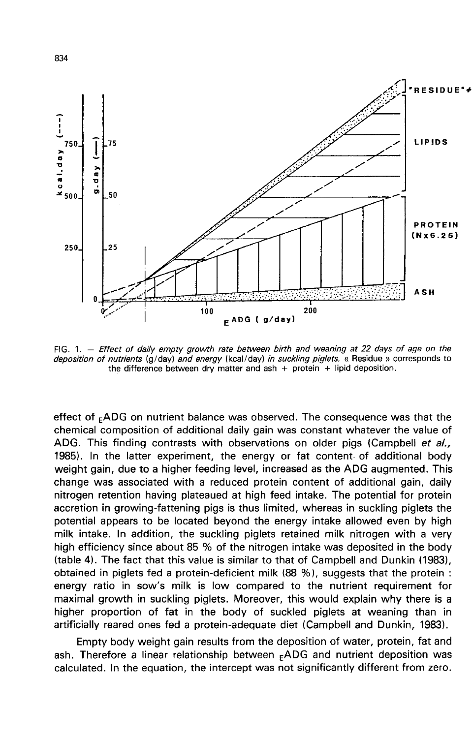

FIG. 1. - Effect of daily empty growth rate between birth and weaning at 22 days of age on the deposition of nutrients (g/day) and energy (kcal/day) in suckling piglets. « Residue » corresponds to the difference between dry matter and ash + protein + lipid deposition.

effect of  $<sub>F</sub>ADG$  on nutrient balance was observed. The consequence was that the</sub> chemical composition of additional daily gain was constant whatever the value of ADG. This finding contrasts with observations on older pigs (Campbell et al., 1985). In the latter experiment, the energy or fat content. of additional body weight gain, due to a higher feeding level, increased as the ADG augmented. This change was associated with a reduced protein content of additional gain, daily nitrogen retention having plateaued at high feed intake. The potential for protein accretion in growing-fattening pigs is thus limited, whereas in suckling piglets the potential appears to be located beyond the energy intake allowed even by high milk intake. In addition, the suckling piglets retained milk nitrogen with a very high efficiency since about 85 % of the nitrogen intake was deposited in the body (table 4). The fact that this value is similar to that of Campbell and Dunkin (1983), obtained in piglets fed a protein-deficient milk (88 %), suggests that the protein : energy ratio in sow's milk is low compared to the nutrient requirement for maximal growth in suckling piglets. Moreover, this would explain why there is a higher proportion of fat in the body of suckled piglets at weaning than in artificially reared ones fed a protein-adequate diet (Campbell and Dunkin, 1983).

Empty body weight gain results from the deposition of water, protein, fat and ash. Therefore a linear relationship between <sub>F</sub>ADG and nutrient deposition was calculated. In the equation, the intercept was not significantly different from zero.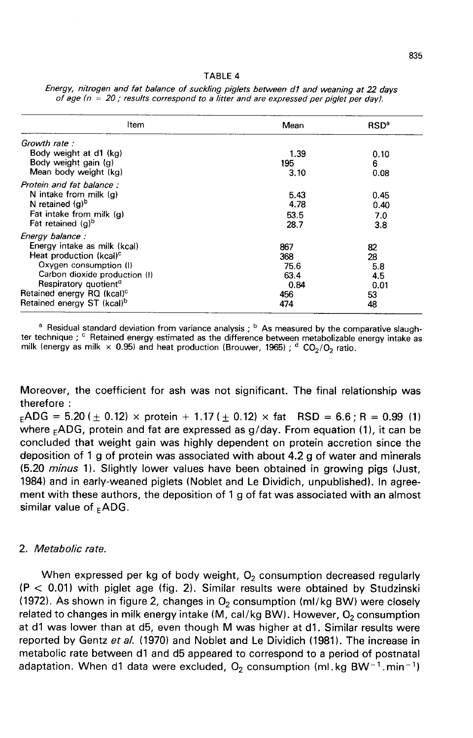| Item                                   | Mean | <b>RSD<sup>a</sup></b> |
|----------------------------------------|------|------------------------|
| Growth rate :                          |      |                        |
| Body weight at d1 (kg)                 | 1.39 | 0.10                   |
| Body weight gain (g)                   | 195  | 6                      |
| Mean body weight (kg)                  | 3.10 | 0.08                   |
| Protein and fat balance:               |      |                        |
| N intake from milk (q)                 | 5.43 | 0.45                   |
| N retained $(a)^b$                     | 4.78 | 0.40                   |
| Fat intake from milk (g)               | 53.5 | 7.0                    |
| Fat retained (g) <sup>b</sup>          | 28.7 | 3.8                    |
| Energy balance:                        |      |                        |
| Energy intake as milk (kcal)           |      |                        |
|                                        | 867  | 82                     |
| Heat production (kcal) <sup>c</sup>    | 368  | 28                     |
| Oxygen consumption (I)                 | 75.6 | 5.8                    |
| Carbon dioxide production (I)          | 63.4 | 4.5                    |
| Respiratory quotient <sup>a</sup>      | 0.84 | 0.01                   |
| Retained energy RQ (kcal) <sup>c</sup> | 456  | 53                     |
| Retained energy ST (kcal) <sup>b</sup> | 474  | 48                     |

Energy, nitrogen and fat balance of suckling piglets between d1 and weaning at 22 days of age  $(n = 20)$ ; results correspond to a litter and are expressed per piglet per day).

<sup>a</sup> Residual standard deviation from variance analysis ; <sup>b</sup> As measured by the comparative slaugh-<br>ter technique ; <sup>c</sup> Retained energy estimated as the difference between metabolizable energy intake as<br>milk (energy as mi

Moreover, the coefficient for ash was not significant. The final relationship was therefore : Moreover, the coefficient for ash was not significant. The final relationship was<br>therefore :<br><sub>E</sub>ADG = 5.20 (± 0.12) × protein + 1.17 (± 0.12) × fat RSD = 6.6 ; R = 0.99 (1)<br>where <sub>F</sub>ADG, protein and fat are expressed as

 $_{E}$ ADG = 5.20 ( $_{\pm}$  0.12) × protein + 1.17 ( $_{\pm}$  0.12) × fat RSD = 6.6; R = 0.99 (1) where  $_{F}$ ADG, protein and fat are expressed as g/day. From equation (1), it can be concluded that weight gain was highly dependent on protein accretion since the deposition of 1 g of protein was associated with about 4.2 g of water and minerals (5.20 *minus* 1). Slightly lower values have been obtained in growing pigs (Just, 1984) and in early-weaned piglets (Noblet and Le Dividich, unpublished). In agreement with these authors, the deposition of 1 g of fat was associated with an almost 1984) and in early-wea<br>ment with these autho<br>similar value of  $_{E}$ ADG.

## 2. Metabolic rate.

When expressed per kg of body weight,  $O<sub>2</sub>$  consumption decreased regularly  $(P < 0.01)$  with piglet age (fig. 2). Similar results were obtained by Studzinski (1972). As shown in figure 2, changes in  $O_2$  consumption (ml/kg BW) were closely related to changes in milk energy intake (M, cal/kg BW). However,  $O_2$  consumption at d1 was lower than at d5, even though M was higher at d1. Similar results were reported by Gentz et al. (1970) and Noblet and Le Dividich (1981). The increase in metabolic rate between d1 and d5 appeared to correspond to a period of postnatal adaptation. When d1 data were excluded,  $O_2$  consumption (ml.kg BW<sup>-1</sup>.min<sup>-1</sup>)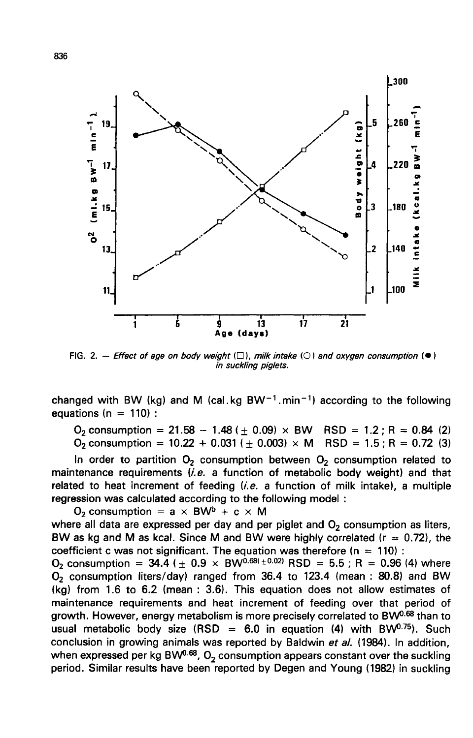

equations ( $n = 110$ ) :

 $O_2$  consumption = 10.22 + 0.031 ( $\pm$  0.003) × M RSD = 1.5; R = 0.72 (3)

In order to partition  $O<sub>2</sub>$  consumption between  $O<sub>2</sub>$  consumption related to maintenance requirements  $(i.e.$  a function of metabolic body weight) and that related to heat increment of feeding  $(i.e.$  a function of milk intake), a multiple regression was calculated according to the following model :

 $O<sub>2</sub>$  consumption = a  $\times$  BW<sup>b</sup> + c  $\times$  M where all data are expressed per day and per piglet and  $O<sub>2</sub>$  consumption as liters, BW as kg and M as kcal. Since M and BW were highly correlated ( $r = 0.72$ ), the coefficient c was not significant. The equation was therefore ( $n = 110$ ) :

 $O_2$  consumption = 34.4 ( $\pm$  0.9  $\times$  BW<sup>0.68( $\pm$ 0.02)</sup> RSD = 5.5 ; R = 0.96 (4) where  $O<sub>2</sub>$  consumption liters/day) ranged from 36.4 to 123.4 (mean : 80.8) and BW (kg) from 1.6 to 6.2 (mean : 3.6). This equation does not allow estimates of maintenance requirements and heat increment of feeding over that period of growth. However, energy metabolism is more precisely correlated to BW<sup>0.68</sup> than to usual metabolic body size (RSD = 6.0 in equation (4) with BW<sup>0.75</sup>). Such (kg) from 1.6 to 6.2 (mean : 3.6). This equation does not allow estimates of maintenance requirements and heat increment of feeding over that period of growth. However, energy metabolism is more precisely correlated to BW conclusion in growing animals was reported by Baldwin et al. (1984). In addition, when expressed per kg BW<sup>0.68</sup>,  $O<sub>2</sub>$  consumption appears constant over the suckling period. Similar results have been reported by Degen and Young (1982) in suckling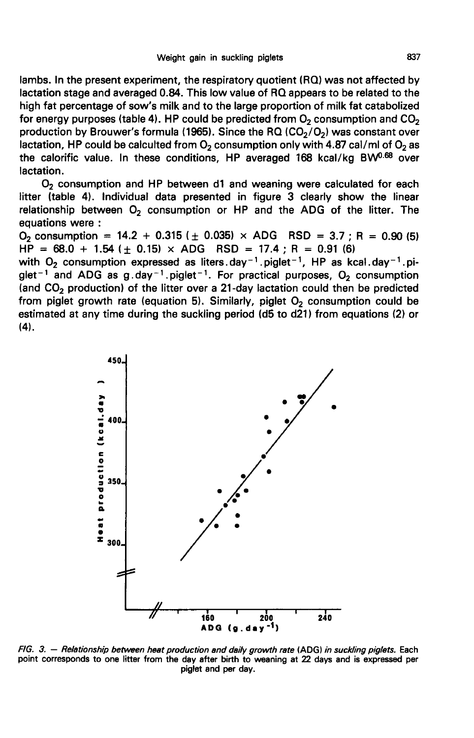lambs. In the present experiment, the respiratory quotient (RQ) was not affected by lactation stage and averaged 0.84. This low value of RQ appears to be related to the high fat percentage of sow's milk and to the large proportion of milk fat catabolized for energy purposes (table 4). HP could be predicted from  $O_2$  consumption and  $CO_2$ <br>production by Brouwer's formula (1965). Since the RQ (CO<sub>2</sub>/O<sub>2</sub>) was constant over bactation stage and averaged 0.84. This low value of RQ appears to be related to the high fat percentage of sow's milk and to the large proportion of milk fat catabolized for energy purposes (table 4). HP could be predict the calorific value. In these conditions, HP averaged  $168$  kcal/kg BW<sup>0.68</sup> over lactation.

O<sub>2</sub> consumption and HP between d1 and weaning were calculated for each litter (table 4). Individual data presented in figure 3 clearly show the linear relationship between  $O<sub>2</sub>$  consumption or HP and the ADG of the litter. The equations were :<br>O<sub>2</sub> consumption = 14.2 + 0.315 ( $\pm$  0.035) × ADG RSD = 3.7 ; R = 0.90 (5) production by Brouwer's formula (1965). Since the RQ (CO<sub>2</sub>/O<sub>2</sub>) was constant over<br>lactation, HP could be calculted from O<sub>2</sub> consumption only with 4.87 cal/ml of O<sub>2</sub> as<br>the caloritic value. In these conditions, HP aver

 $HP = 68.0 + 1.54$  ( $\pm$  0.15)  $\times$  ADG RSD = 17.4; R = 0.91 (6)<br>with O<sub>2</sub> consumption expressed as liters.day<sup>-1</sup>.piglet<sup>-1</sup>, HP as kcal.day<sup>-1</sup>.pi-<br>glet<sup>-1</sup> and ADG as g.day<sup>-1</sup>.piglet<sup>-1</sup>. For practical purposes, O<sub>2</sub> con (and  $CO<sub>2</sub>$  production) of the litter over a 21-day lactation could then be predicted from piglet growth rate (equation 5). Similarly, piglet  $O<sub>2</sub>$  consumption could be estimated at any time during the suckling period (d5 to d21) from equations (2) or (4).



FIG. 3. - Relationship between heat production and daily growth rate (ADG) in suckling piglets. Each point corresponds to one litter from the day after birth to weaning at 22 days and is expressed per piglet and per day.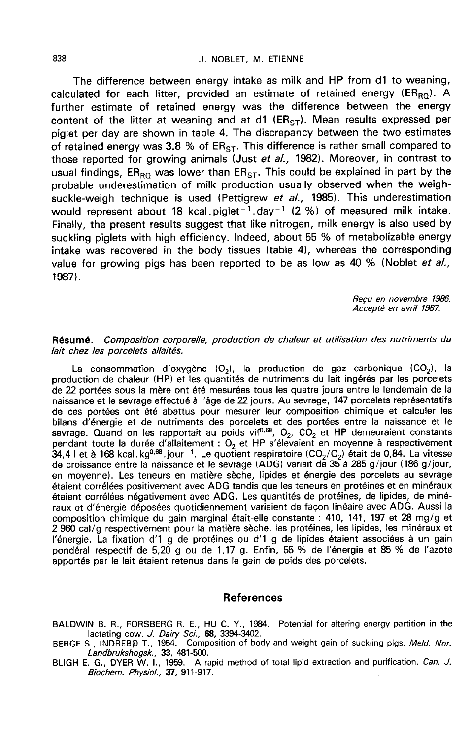The difference between energy intake as milk and HP from d1 to weaning, calculated for each litter, provided an estimate of retained energy ( $ER_{RO}$ ). A further estimate of retained energy was the difference between the energy content of the litter at weaning and at  $d1$  (ER<sub>ST</sub>). Mean results expressed per piglet per day are shown in table 4. The discrepancy between the two estimates of retained energy was 3.8 % of  $ER_{ST}$ . This difference is rather small compared to those reported for growing animals (Just et al., 1982). Moreover, in contrast to usual findings,  $ER_{\text{RQ}}$  was lower than  $ER_{ST}$ . This could be explained in part by the probable underestimation of milk production usually observed when the weighsuckle-weigh technique is used (Pettigrew *et al.,* 1985). This underestimation<br>would represent about 18 kcal.piglet<sup>-1</sup>.day<sup>-1</sup> (2 %) of measured milk intake. calculated for each litter, provided an estimate of retained energy ( $E R_{RQ}$ ). A<br>further estimate of retained energy was the difference between the energy<br>content of the litter at weaning and at d1 ( $E R_{S1}$ ). Mean resul Finally, the present results suggest that like nitrogen, milk energy is also used by suckling piglets with high efficiency. Indeed, about 55 % of metabolizable energy intake was recovered in the body tissues (table 4), whereas the corresponding value for growing pigs has been reported to be as low as 40 % (Noblet *et al.,* 1987). usual findings, ER<sub>RQ</sub> was lower than ER<sub>S</sub><br>probable underestimation of milk produce<br>suckle-weigh technique is used (Pettigr<br>would represent about 18 kcal piglet<sup>-1</sup><br>Finally, the present results suggest that li<br>suckling p

Recu en novembre 1986. Accepté en avril 1987.

#### Résumé. Composition corporelle, production de chaleur et utilisation des nutriments du lait chez les porcelets allaités.

La consommation d'oxygène  $(O_2)$ , la production de gaz carbonique  $(CO_2)$ , la production de chaleur (HP) et les quantités de nutriments du lait ingérés par les porcelets de 22 portées sous la mère ont été mesurées tous les quatre jours entre le lendemain de la naissance et le sevrage effectué à l'âge de 22 jours. Au sevrage, 147 porcelets représentatifs de ces portées ont été abattus pour mesurer leur composition chimique et calculer les bilans d'énergie et de nutriments des porcelets et des portées entre la naissance et le bilans d'énergie et de nutriments des porcelets et des portées entre la naissance et le<br>sevrage. Quand on les rapportait au poids vif<sup>0,68</sup>, O<sub>2</sub>, CO<sub>2</sub> et HP demeuraient constants<br>pendant toute la durée d'allaitement : O<sub></sub> de ces portees ont ete abattus pour mesurer leur composition chimique et calculer les<br>bilans d'énergie et de nutriments des porcelets et des portées entre la naissance et le<br>sevrage. Quand on les rapportait au poids vif<sup>0</sup> de croissance entre la naissance et le sevrage (ADG) variait de 35 à 285 g/jour (186 g/jour, en moyenne). Les teneurs en matière sèche, lipides et énergie des porcelets au sevrage étaient corrélées positivement avec ADG tandis que les teneurs en protéines et en minéraux étaient corrélées négativement avec ADG. Les quantités de protéines, de lipides, de minéraux et d'énergie déposées quotidiennement variaient de façon linéaire avec ADG. Aussi la composition chimique du gain marginal était-elle constante : 410, 141, 197 et 28 mg/g et 2 960 cal/g respectivement pour la matière sèche, les protéines, les lipides, les minéraux et l'énergie. La fixation d'1 g de protéines ou d'1 g de lipides étaient associées à un gain pondéral respectif de 5,20 g ou de 1,17 g. Enfin, 55 % de l'énergie et 85 % de l'azote apportés par le lait étaient retenus dans le gain de poids des porcelets.

#### References

BALDWIN B. R., FORSBERG R. E., HU C. Y., 1984. Potential for altering energy partition in the lactating cow. J. Dairy Sci., 68, 3394-3402.

BERGE S., INDREBO T., 1954. Composition of body and weight gain of suckling pigs. Meld. Nor. Landbrukshogsk., 33, 481-500.

BLIGH E. G., DYER W. I., 1959. A rapid method of total lipid extraction and purification. Can. J. Biochem. Physiol., 37, 911-917.